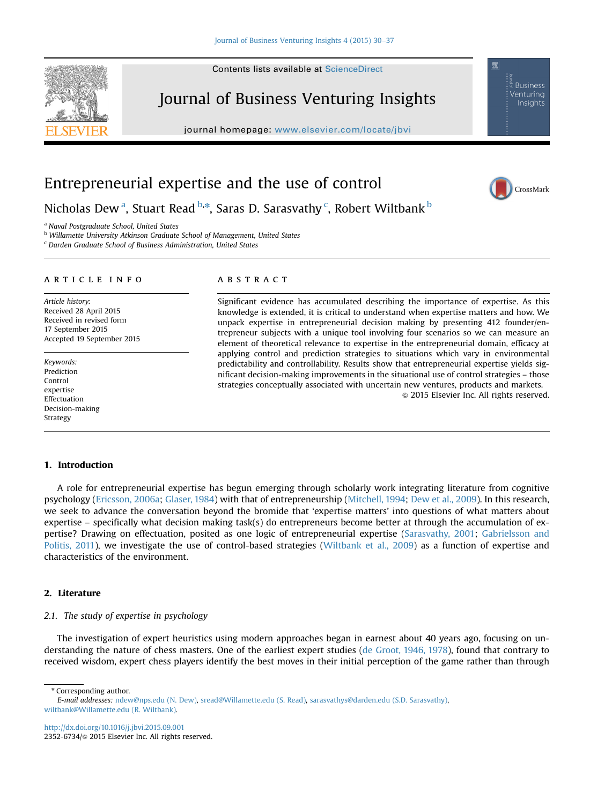# Journal of Business Venturing Insights

journal homepage: <www.elsevier.com/locate/jbvi>



Nicholas Dew<sup>a</sup>, Stuart Read <sup>b,\*</sup>, Saras D. Sarasvathy <sup>c</sup>, Robert Wiltbank <sup>b</sup>

<sup>a</sup> Naval Postgraduate School, United States

<sup>b</sup> Willamette University Atkinson Graduate School of Management, United States

<sup>c</sup> Darden Graduate School of Business Administration, United States

## article info

Article history: Received 28 April 2015 Received in revised form 17 September 2015 Accepted 19 September 2015

Keywords: Prediction Control expertise Effectuation Decision-making Strategy

# **ABSTRACT**

Significant evidence has accumulated describing the importance of expertise. As this knowledge is extended, it is critical to understand when expertise matters and how. We unpack expertise in entrepreneurial decision making by presenting 412 founder/entrepreneur subjects with a unique tool involving four scenarios so we can measure an element of theoretical relevance to expertise in the entrepreneurial domain, efficacy at applying control and prediction strategies to situations which vary in environmental predictability and controllability. Results show that entrepreneurial expertise yields significant decision-making improvements in the situational use of control strategies – those strategies conceptually associated with uncertain new ventures, products and markets.  $\odot$  2015 Elsevier Inc. All rights reserved.

#### 1. Introduction

A role for entrepreneurial expertise has begun emerging through scholarly work integrating literature from cognitive psychology ([Ericsson, 2006a](#page-6-0); [Glaser, 1984\)](#page-6-0) with that of entrepreneurship [\(Mitchell, 1994](#page-7-0); [Dew et al., 2009](#page-6-0)). In this research, we seek to advance the conversation beyond the bromide that 'expertise matters' into questions of what matters about expertise – specifically what decision making task(s) do entrepreneurs become better at through the accumulation of expertise? Drawing on effectuation, posited as one logic of entrepreneurial expertise [\(Sarasvathy, 2001](#page-7-0); [Gabrielsson and](#page-6-0) [Politis, 2011\)](#page-6-0), we investigate the use of control-based strategies ([Wiltbank et al., 2009\)](#page-7-0) as a function of expertise and characteristics of the environment.

## 2. Literature

## 2.1. The study of expertise in psychology

The investigation of expert heuristics using modern approaches began in earnest about 40 years ago, focusing on understanding the nature of chess masters. One of the earliest expert studies ([de Groot, 1946, 1978](#page-6-0)), found that contrary to received wisdom, expert chess players identify the best moves in their initial perception of the game rather than through

Corresponding author.

<http://dx.doi.org/10.1016/j.jbvi.2015.09.001> 2352-6734/& 2015 Elsevier Inc. All rights reserved.





**Business** Venturing Insights

E-mail addresses: [ndew@nps.edu \(N. Dew\)](mailto:ndew@nps.edu), [sread@Willamette.edu \(S. Read\)](mailto:sread@Willamette.edu), [sarasvathys@darden.edu \(S.D. Sarasvathy\),](mailto:sarasvathys@darden.edu) [wiltbank@Willamette.edu \(R. Wiltbank\)](mailto:wiltbank@Willamette.edu).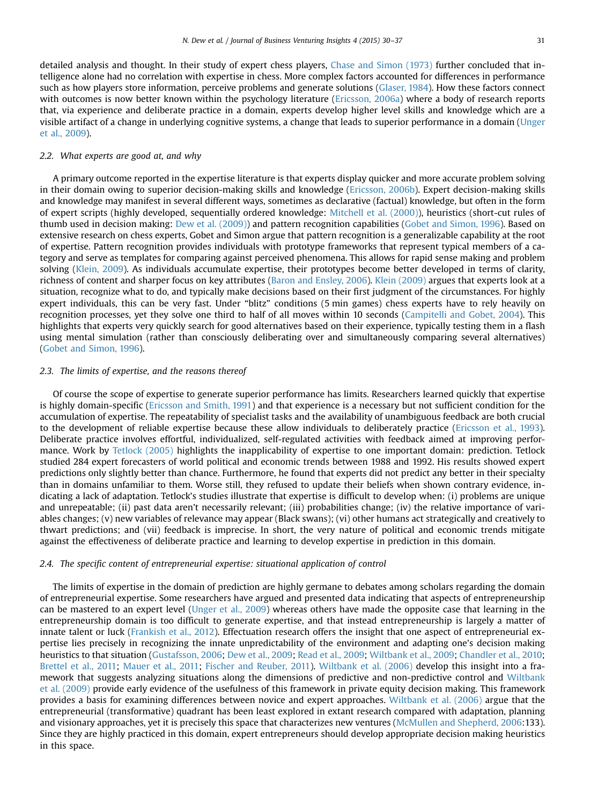detailed analysis and thought. In their study of expert chess players, [Chase and Simon \(1973\)](#page-6-0) further concluded that intelligence alone had no correlation with expertise in chess. More complex factors accounted for differences in performance such as how players store information, perceive problems and generate solutions ([Glaser, 1984](#page-6-0)). How these factors connect with outcomes is now better known within the psychology literature [\(Ericsson, 2006a](#page-6-0)) where a body of research reports that, via experience and deliberate practice in a domain, experts develop higher level skills and knowledge which are a visible artifact of a change in underlying cognitive systems, a change that leads to superior performance in a domain [\(Unger](#page-7-0) [et al., 2009](#page-7-0)).

## 2.2. What experts are good at, and why

A primary outcome reported in the expertise literature is that experts display quicker and more accurate problem solving in their domain owing to superior decision-making skills and knowledge ([Ericsson, 2006b\)](#page-6-0). Expert decision-making skills and knowledge may manifest in several different ways, sometimes as declarative (factual) knowledge, but often in the form of expert scripts (highly developed, sequentially ordered knowledge: [Mitchell et al. \(2000\)\)](#page-7-0), heuristics (short-cut rules of thumb used in decision making: [Dew et al. \(2009\)\)](#page-6-0) and pattern recognition capabilities ([Gobet and Simon, 1996\)](#page-6-0). Based on extensive research on chess experts, Gobet and Simon argue that pattern recognition is a generalizable capability at the root of expertise. Pattern recognition provides individuals with prototype frameworks that represent typical members of a category and serve as templates for comparing against perceived phenomena. This allows for rapid sense making and problem solving [\(Klein, 2009\)](#page-6-0). As individuals accumulate expertise, their prototypes become better developed in terms of clarity, richness of content and sharper focus on key attributes [\(Baron and Ensley, 2006\)](#page-6-0). [Klein \(2009\)](#page-6-0) argues that experts look at a situation, recognize what to do, and typically make decisions based on their first judgment of the circumstances. For highly expert individuals, this can be very fast. Under "blitz" conditions (5 min games) chess experts have to rely heavily on recognition processes, yet they solve one third to half of all moves within 10 seconds ([Campitelli and Gobet, 2004\)](#page-6-0). This highlights that experts very quickly search for good alternatives based on their experience, typically testing them in a flash using mental simulation (rather than consciously deliberating over and simultaneously comparing several alternatives) ([Gobet and Simon, 1996\)](#page-6-0).

# 2.3. The limits of expertise, and the reasons thereof

Of course the scope of expertise to generate superior performance has limits. Researchers learned quickly that expertise is highly domain-specific ([Ericsson and Smith, 1991](#page-6-0)) and that experience is a necessary but not sufficient condition for the accumulation of expertise. The repeatability of specialist tasks and the availability of unambiguous feedback are both crucial to the development of reliable expertise because these allow individuals to deliberately practice ([Ericsson et al., 1993](#page-6-0)). Deliberate practice involves effortful, individualized, self-regulated activities with feedback aimed at improving performance. Work by [Tetlock \(2005\)](#page-7-0) highlights the inapplicability of expertise to one important domain: prediction. Tetlock studied 284 expert forecasters of world political and economic trends between 1988 and 1992. His results showed expert predictions only slightly better than chance. Furthermore, he found that experts did not predict any better in their specialty than in domains unfamiliar to them. Worse still, they refused to update their beliefs when shown contrary evidence, indicating a lack of adaptation. Tetlock's studies illustrate that expertise is difficult to develop when: (i) problems are unique and unrepeatable; (ii) past data aren't necessarily relevant; (iii) probabilities change; (iv) the relative importance of variables changes; (v) new variables of relevance may appear (Black swans); (vi) other humans act strategically and creatively to thwart predictions; and (vii) feedback is imprecise. In short, the very nature of political and economic trends mitigate against the effectiveness of deliberate practice and learning to develop expertise in prediction in this domain.

#### 2.4. The specific content of entrepreneurial expertise: situational application of control

The limits of expertise in the domain of prediction are highly germane to debates among scholars regarding the domain of entrepreneurial expertise. Some researchers have argued and presented data indicating that aspects of entrepreneurship can be mastered to an expert level [\(Unger et al., 2009\)](#page-7-0) whereas others have made the opposite case that learning in the entrepreneurship domain is too difficult to generate expertise, and that instead entrepreneurship is largely a matter of innate talent or luck ([Frankish et al., 2012\)](#page-6-0). Effectuation research offers the insight that one aspect of entrepreneurial expertise lies precisely in recognizing the innate unpredictability of the environment and adapting one's decision making heuristics to that situation ([Gustafsson, 2006;](#page-6-0) [Dew et al., 2009;](#page-6-0) [Read et al., 2009](#page-7-0); [Wiltbank et al., 2009](#page-7-0); [Chandler et al., 2010](#page-6-0); [Brettel et al., 2011;](#page-6-0) [Mauer et al., 2011;](#page-6-0) [Fischer and Reuber, 2011](#page-6-0)). [Wiltbank et al. \(2006\)](#page-7-0) develop this insight into a framework that suggests analyzing situations along the dimensions of predictive and non-predictive control and [Wiltbank](#page-7-0) [et al. \(2009\)](#page-7-0) provide early evidence of the usefulness of this framework in private equity decision making. This framework provides a basis for examining differences between novice and expert approaches. [Wiltbank et al. \(2006\)](#page-7-0) argue that the entrepreneurial (transformative) quadrant has been least explored in extant research compared with adaptation, planning and visionary approaches, yet it is precisely this space that characterizes new ventures ([McMullen and Shepherd, 2006:](#page-6-0)133). Since they are highly practiced in this domain, expert entrepreneurs should develop appropriate decision making heuristics in this space.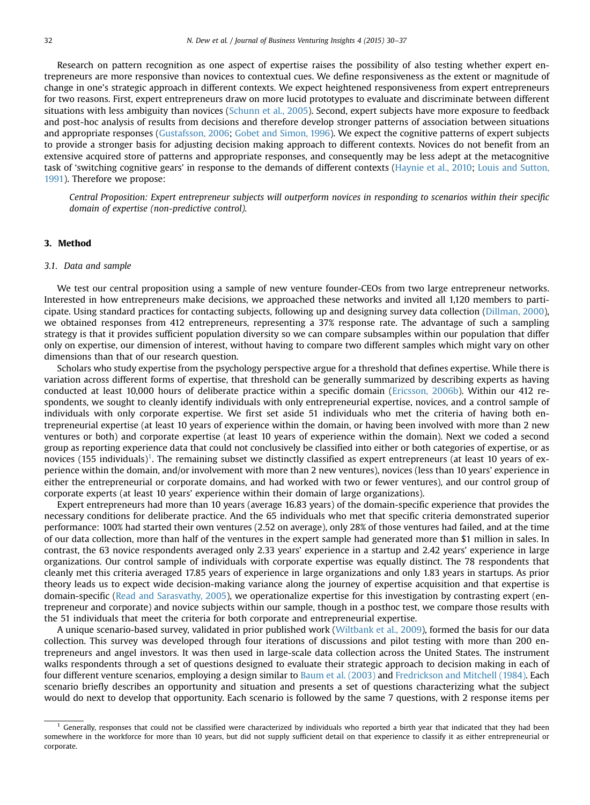Research on pattern recognition as one aspect of expertise raises the possibility of also testing whether expert entrepreneurs are more responsive than novices to contextual cues. We define responsiveness as the extent or magnitude of change in one's strategic approach in different contexts. We expect heightened responsiveness from expert entrepreneurs for two reasons. First, expert entrepreneurs draw on more lucid prototypes to evaluate and discriminate between different situations with less ambiguity than novices ([Schunn et al., 2005](#page-7-0)). Second, expert subjects have more exposure to feedback and post-hoc analysis of results from decisions and therefore develop stronger patterns of association between situations and appropriate responses ([Gustafsson, 2006;](#page-6-0) [Gobet and Simon, 1996\)](#page-6-0). We expect the cognitive patterns of expert subjects to provide a stronger basis for adjusting decision making approach to different contexts. Novices do not benefit from an extensive acquired store of patterns and appropriate responses, and consequently may be less adept at the metacognitive task of 'switching cognitive gears' in response to the demands of different contexts ([Haynie et al., 2010](#page-6-0); [Louis and Sutton,](#page-6-0) [1991](#page-6-0)). Therefore we propose:

Central Proposition: Expert entrepreneur subjects will outperform novices in responding to scenarios within their specific domain of expertise (non-predictive control).

# 3. Method

### 3.1. Data and sample

We test our central proposition using a sample of new venture founder-CEOs from two large entrepreneur networks. Interested in how entrepreneurs make decisions, we approached these networks and invited all 1,120 members to participate. Using standard practices for contacting subjects, following up and designing survey data collection [\(Dillman, 2000](#page-6-0)), we obtained responses from 412 entrepreneurs, representing a 37% response rate. The advantage of such a sampling strategy is that it provides sufficient population diversity so we can compare subsamples within our population that differ only on expertise, our dimension of interest, without having to compare two different samples which might vary on other dimensions than that of our research question.

Scholars who study expertise from the psychology perspective argue for a threshold that defines expertise. While there is variation across different forms of expertise, that threshold can be generally summarized by describing experts as having conducted at least 10,000 hours of deliberate practice within a specific domain [\(Ericsson, 2006b](#page-6-0)). Within our 412 respondents, we sought to cleanly identify individuals with only entrepreneurial expertise, novices, and a control sample of individuals with only corporate expertise. We first set aside 51 individuals who met the criteria of having both entrepreneurial expertise (at least 10 years of experience within the domain, or having been involved with more than 2 new ventures or both) and corporate expertise (at least 10 years of experience within the domain). Next we coded a second group as reporting experience data that could not conclusively be classified into either or both categories of expertise, or as novices (155 individuals)<sup>1</sup>. The remaining subset we distinctly classified as expert entrepreneurs (at least 10 years of experience within the domain, and/or involvement with more than 2 new ventures), novices (less than 10 years' experience in either the entrepreneurial or corporate domains, and had worked with two or fewer ventures), and our control group of corporate experts (at least 10 years' experience within their domain of large organizations).

Expert entrepreneurs had more than 10 years (average 16.83 years) of the domain-specific experience that provides the necessary conditions for deliberate practice. And the 65 individuals who met that specific criteria demonstrated superior performance: 100% had started their own ventures (2.52 on average), only 28% of those ventures had failed, and at the time of our data collection, more than half of the ventures in the expert sample had generated more than \$1 million in sales. In contrast, the 63 novice respondents averaged only 2.33 years' experience in a startup and 2.42 years' experience in large organizations. Our control sample of individuals with corporate expertise was equally distinct. The 78 respondents that cleanly met this criteria averaged 17.85 years of experience in large organizations and only 1.83 years in startups. As prior theory leads us to expect wide decision-making variance along the journey of expertise acquisition and that expertise is domain-specific ([Read and Sarasvathy, 2005](#page-7-0)), we operationalize expertise for this investigation by contrasting expert (entrepreneur and corporate) and novice subjects within our sample, though in a posthoc test, we compare those results with the 51 individuals that meet the criteria for both corporate and entrepreneurial expertise.

A unique scenario-based survey, validated in prior published work ([Wiltbank et al., 2009](#page-7-0)), formed the basis for our data collection. This survey was developed through four iterations of discussions and pilot testing with more than 200 entrepreneurs and angel investors. It was then used in large-scale data collection across the United States. The instrument walks respondents through a set of questions designed to evaluate their strategic approach to decision making in each of four different venture scenarios, employing a design similar to [Baum et al. \(2003\)](#page-6-0) and [Fredrickson and Mitchell \(1984\)](#page-6-0). Each scenario briefly describes an opportunity and situation and presents a set of questions characterizing what the subject would do next to develop that opportunity. Each scenario is followed by the same 7 questions, with 2 response items per

<sup>1</sup> Generally, responses that could not be classified were characterized by individuals who reported a birth year that indicated that they had been somewhere in the workforce for more than 10 years, but did not supply sufficient detail on that experience to classify it as either entrepreneurial or corporate.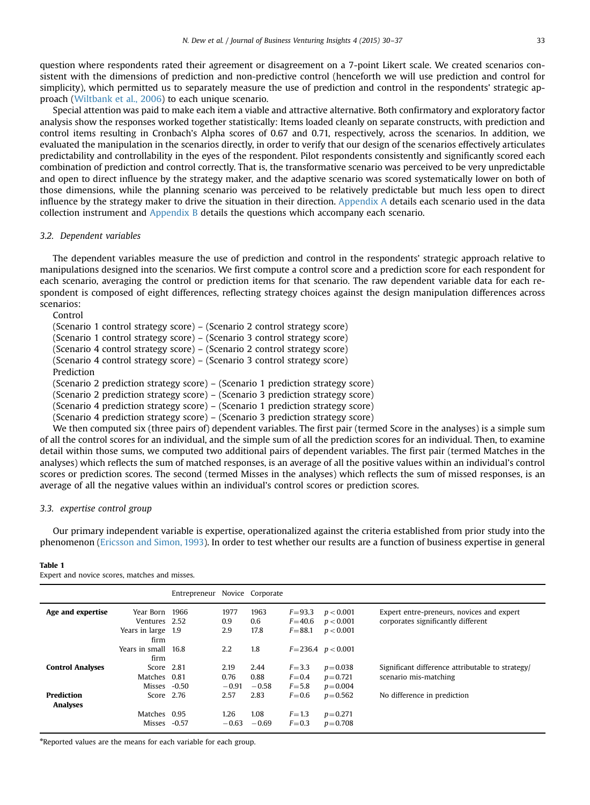<span id="page-3-0"></span>question where respondents rated their agreement or disagreement on a 7-point Likert scale. We created scenarios consistent with the dimensions of prediction and non-predictive control (henceforth we will use prediction and control for simplicity), which permitted us to separately measure the use of prediction and control in the respondents' strategic approach ([Wiltbank et al., 2006](#page-7-0)) to each unique scenario.

Special attention was paid to make each item a viable and attractive alternative. Both confirmatory and exploratory factor analysis show the responses worked together statistically: Items loaded cleanly on separate constructs, with prediction and control items resulting in Cronbach's Alpha scores of 0.67 and 0.71, respectively, across the scenarios. In addition, we evaluated the manipulation in the scenarios directly, in order to verify that our design of the scenarios effectively articulates predictability and controllability in the eyes of the respondent. Pilot respondents consistently and significantly scored each combination of prediction and control correctly. That is, the transformative scenario was perceived to be very unpredictable and open to direct influence by the strategy maker, and the adaptive scenario was scored systematically lower on both of those dimensions, while the planning scenario was perceived to be relatively predictable but much less open to direct influence by the strategy maker to drive the situation in their direction. [Appendix A](#page-5-0) details each scenario used in the data collection instrument and [Appendix B](#page-6-0) details the questions which accompany each scenario.

#### 3.2. Dependent variables

The dependent variables measure the use of prediction and control in the respondents' strategic approach relative to manipulations designed into the scenarios. We first compute a control score and a prediction score for each respondent for each scenario, averaging the control or prediction items for that scenario. The raw dependent variable data for each respondent is composed of eight differences, reflecting strategy choices against the design manipulation differences across scenarios:

Control (Scenario 1 control strategy score) – (Scenario 2 control strategy score) (Scenario 1 control strategy score) – (Scenario 3 control strategy score) (Scenario 4 control strategy score) – (Scenario 2 control strategy score) (Scenario 4 control strategy score) – (Scenario 3 control strategy score) Prediction (Scenario 2 prediction strategy score) – (Scenario 1 prediction strategy score) (Scenario 2 prediction strategy score) – (Scenario 3 prediction strategy score) (Scenario 4 prediction strategy score) – (Scenario 1 prediction strategy score) (Scenario 4 prediction strategy score) – (Scenario 3 prediction strategy score)

We then computed six (three pairs of) dependent variables. The first pair (termed Score in the analyses) is a simple sum of all the control scores for an individual, and the simple sum of all the prediction scores for an individual. Then, to examine detail within those sums, we computed two additional pairs of dependent variables. The first pair (termed Matches in the analyses) which reflects the sum of matched responses, is an average of all the positive values within an individual's control scores or prediction scores. The second (termed Misses in the analyses) which reflects the sum of missed responses, is an average of all the negative values within an individual's control scores or prediction scores.

### 3.3. expertise control group

Our primary independent variable is expertise, operationalized against the criteria established from prior study into the phenomenon ([Ericsson and Simon, 1993](#page-6-0)). In order to test whether our results are a function of business expertise in general

#### Table 1

Expert and novice scores, matches and misses.

|                               |                                 | Entrepreneur |                 | Novice Corporate |                          |                            |                                                                                 |
|-------------------------------|---------------------------------|--------------|-----------------|------------------|--------------------------|----------------------------|---------------------------------------------------------------------------------|
| Age and expertise             | Year Born 1966<br>Ventures 2.52 |              | 1977<br>0.9     | 1963<br>0.6      | $F = 93.3$<br>$F = 40.6$ | p < 0.001<br>p < 0.001     | Expert entre-preneurs, novices and expert<br>corporates significantly different |
|                               | Years in large 1.9<br>firm      |              | 2.9             | 17.8             | $F = 88.1$               | p < 0.001                  |                                                                                 |
|                               | Years in small 16.8<br>firm     |              | 2.2             | 1.8              |                          | $F = 236.4$ $p < 0.001$    |                                                                                 |
| <b>Control Analyses</b>       | Score 2.81<br>Matches 0.81      |              | 2.19<br>0.76    | 2.44<br>0.88     | $F = 3.3$<br>$F = 0.4$   | $p = 0.038$<br>$p = 0.721$ | Significant difference attributable to strategy/<br>scenario mis-matching       |
| Prediction<br><b>Analyses</b> | $Misses -0.50$<br>Score 2.76    |              | $-0.91$<br>2.57 | $-0.58$<br>2.83  | $F = 5.8$<br>$F = 0.6$   | $p = 0.004$<br>$p = 0.562$ | No difference in prediction                                                     |
|                               | Matches 0.95<br>Misses          | $-0.57$      | 1.26<br>$-0.63$ | 1.08<br>$-0.69$  | $F = 1.3$<br>$F = 0.3$   | $p = 0.271$<br>$p = 0.708$ |                                                                                 |

\*Reported values are the means for each variable for each group.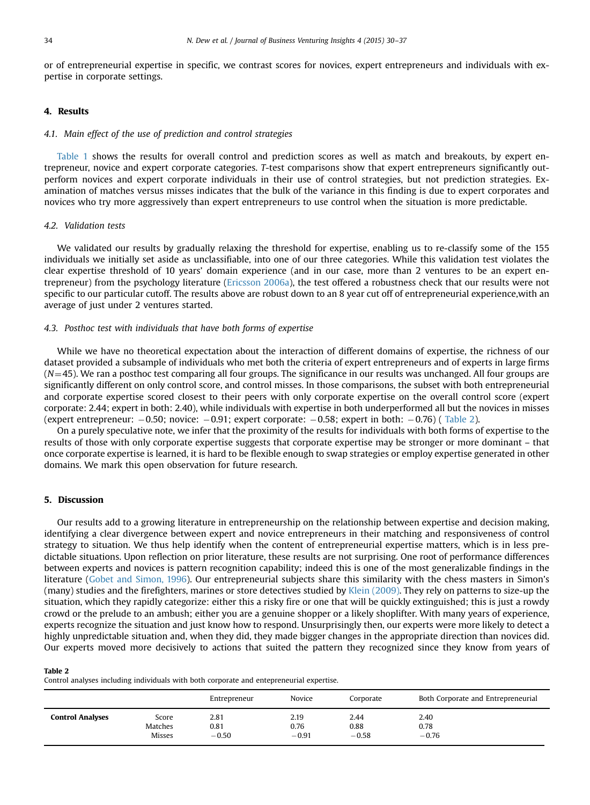or of entrepreneurial expertise in specific, we contrast scores for novices, expert entrepreneurs and individuals with expertise in corporate settings.

## 4. Results

#### 4.1. Main effect of the use of prediction and control strategies

[Table 1](#page-3-0) shows the results for overall control and prediction scores as well as match and breakouts, by expert entrepreneur, novice and expert corporate categories. T-test comparisons show that expert entrepreneurs significantly outperform novices and expert corporate individuals in their use of control strategies, but not prediction strategies. Examination of matches versus misses indicates that the bulk of the variance in this finding is due to expert corporates and novices who try more aggressively than expert entrepreneurs to use control when the situation is more predictable.

#### 4.2. Validation tests

We validated our results by gradually relaxing the threshold for expertise, enabling us to re-classify some of the 155 individuals we initially set aside as unclassifiable, into one of our three categories. While this validation test violates the clear expertise threshold of 10 years' domain experience (and in our case, more than 2 ventures to be an expert entrepreneur) from the psychology literature ([Ericsson 2006a](#page-6-0)), the test offered a robustness check that our results were not specific to our particular cutoff. The results above are robust down to an 8 year cut off of entrepreneurial experience,with an average of just under 2 ventures started.

## 4.3. Posthoc test with individuals that have both forms of expertise

While we have no theoretical expectation about the interaction of different domains of expertise, the richness of our dataset provided a subsample of individuals who met both the criteria of expert entrepreneurs and of experts in large firms  $(N=45)$ . We ran a posthoc test comparing all four groups. The significance in our results was unchanged. All four groups are significantly different on only control score, and control misses. In those comparisons, the subset with both entrepreneurial and corporate expertise scored closest to their peers with only corporate expertise on the overall control score (expert corporate: 2.44; expert in both: 2.40), while individuals with expertise in both underperformed all but the novices in misses (expert entrepreneur:  $-0.50$ ; novice:  $-0.91$ ; expert corporate:  $-0.58$ ; expert in both:  $-0.76$ ) (Table 2).

On a purely speculative note, we infer that the proximity of the results for individuals with both forms of expertise to the results of those with only corporate expertise suggests that corporate expertise may be stronger or more dominant – that once corporate expertise is learned, it is hard to be flexible enough to swap strategies or employ expertise generated in other domains. We mark this open observation for future research.

# 5. Discussion

Our results add to a growing literature in entrepreneurship on the relationship between expertise and decision making, identifying a clear divergence between expert and novice entrepreneurs in their matching and responsiveness of control strategy to situation. We thus help identify when the content of entrepreneurial expertise matters, which is in less predictable situations. Upon reflection on prior literature, these results are not surprising. One root of performance differences between experts and novices is pattern recognition capability; indeed this is one of the most generalizable findings in the literature [\(Gobet and Simon, 1996](#page-6-0)). Our entrepreneurial subjects share this similarity with the chess masters in Simon's (many) studies and the firefighters, marines or store detectives studied by [Klein \(2009\).](#page-6-0) They rely on patterns to size-up the situation, which they rapidly categorize: either this a risky fire or one that will be quickly extinguished; this is just a rowdy crowd or the prelude to an ambush; either you are a genuine shopper or a likely shoplifter. With many years of experience, experts recognize the situation and just know how to respond. Unsurprisingly then, our experts were more likely to detect a highly unpredictable situation and, when they did, they made bigger changes in the appropriate direction than novices did. Our experts moved more decisively to actions that suited the pattern they recognized since they know from years of

## Table 2

Control analyses including individuals with both corporate and entepreneurial expertise.

|                         |               | Entrepreneur | Novice  | Corporate | Both Corporate and Entrepreneurial |
|-------------------------|---------------|--------------|---------|-----------|------------------------------------|
| <b>Control Analyses</b> | Score         | 2.81         | 2.19    | 2.44      | 2.40                               |
|                         | Matches       | 0.81         | 0.76    | 0.88      | 0.78                               |
|                         | <b>Misses</b> | $-0.50$      | $-0.91$ | $-0.58$   | $-0.76$                            |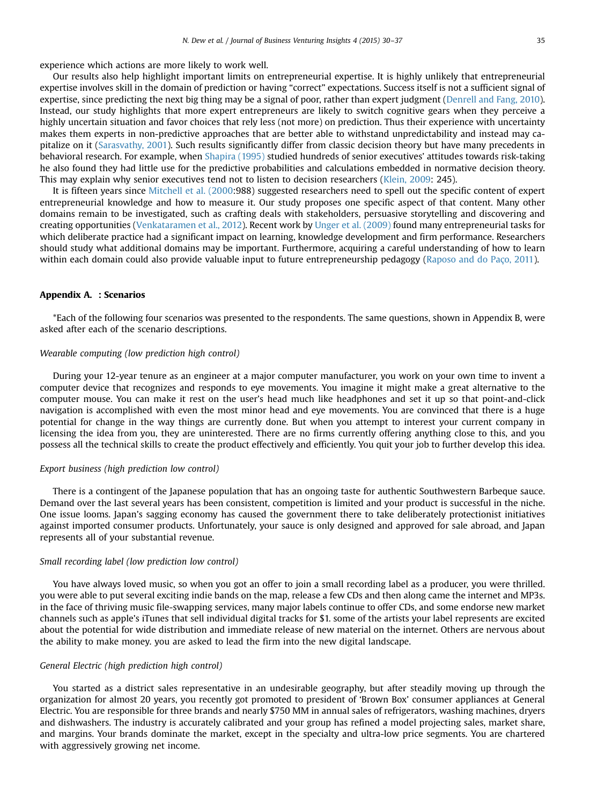<span id="page-5-0"></span>experience which actions are more likely to work well.

Our results also help highlight important limits on entrepreneurial expertise. It is highly unlikely that entrepreneurial expertise involves skill in the domain of prediction or having "correct" expectations. Success itself is not a sufficient signal of expertise, since predicting the next big thing may be a signal of poor, rather than expert judgment [\(Denrell and Fang, 2010](#page-6-0)). Instead, our study highlights that more expert entrepreneurs are likely to switch cognitive gears when they perceive a highly uncertain situation and favor choices that rely less (not more) on prediction. Thus their experience with uncertainty makes them experts in non-predictive approaches that are better able to withstand unpredictability and instead may capitalize on it ([Sarasvathy, 2001\)](#page-7-0). Such results significantly differ from classic decision theory but have many precedents in behavioral research. For example, when [Shapira \(1995\)](#page-7-0) studied hundreds of senior executives' attitudes towards risk-taking he also found they had little use for the predictive probabilities and calculations embedded in normative decision theory. This may explain why senior executives tend not to listen to decision researchers ([Klein, 2009](#page-6-0): 245).

It is fifteen years since [Mitchell et al. \(2000:](#page-7-0)988) suggested researchers need to spell out the specific content of expert entrepreneurial knowledge and how to measure it. Our study proposes one specific aspect of that content. Many other domains remain to be investigated, such as crafting deals with stakeholders, persuasive storytelling and discovering and creating opportunities ([Venkataramen et al., 2012](#page-7-0)). Recent work by [Unger et al. \(2009\)](#page-7-0) found many entrepreneurial tasks for which deliberate practice had a significant impact on learning, knowledge development and firm performance. Researchers should study what additional domains may be important. Furthermore, acquiring a careful understanding of how to learn within each domain could also provide valuable input to future entrepreneurship pedagogy ([Raposo and do Paço, 2011\)](#page-7-0).

#### Appendix A. : Scenarios

\*Each of the following four scenarios was presented to the respondents. The same questions, shown in Appendix B, were asked after each of the scenario descriptions.

#### Wearable computing (low prediction high control)

During your 12-year tenure as an engineer at a major computer manufacturer, you work on your own time to invent a computer device that recognizes and responds to eye movements. You imagine it might make a great alternative to the computer mouse. You can make it rest on the user's head much like headphones and set it up so that point-and-click navigation is accomplished with even the most minor head and eye movements. You are convinced that there is a huge potential for change in the way things are currently done. But when you attempt to interest your current company in licensing the idea from you, they are uninterested. There are no firms currently offering anything close to this, and you possess all the technical skills to create the product effectively and efficiently. You quit your job to further develop this idea.

#### Export business (high prediction low control)

There is a contingent of the Japanese population that has an ongoing taste for authentic Southwestern Barbeque sauce. Demand over the last several years has been consistent, competition is limited and your product is successful in the niche. One issue looms. Japan's sagging economy has caused the government there to take deliberately protectionist initiatives against imported consumer products. Unfortunately, your sauce is only designed and approved for sale abroad, and Japan represents all of your substantial revenue.

#### Small recording label (low prediction low control)

You have always loved music, so when you got an offer to join a small recording label as a producer, you were thrilled. you were able to put several exciting indie bands on the map, release a few CDs and then along came the internet and MP3s. in the face of thriving music file-swapping services, many major labels continue to offer CDs, and some endorse new market channels such as apple's iTunes that sell individual digital tracks for \$1. some of the artists your label represents are excited about the potential for wide distribution and immediate release of new material on the internet. Others are nervous about the ability to make money. you are asked to lead the firm into the new digital landscape.

#### General Electric (high prediction high control)

You started as a district sales representative in an undesirable geography, but after steadily moving up through the organization for almost 20 years, you recently got promoted to president of 'Brown Box' consumer appliances at General Electric. You are responsible for three brands and nearly \$750 MM in annual sales of refrigerators, washing machines, dryers and dishwashers. The industry is accurately calibrated and your group has refined a model projecting sales, market share, and margins. Your brands dominate the market, except in the specialty and ultra-low price segments. You are chartered with aggressively growing net income.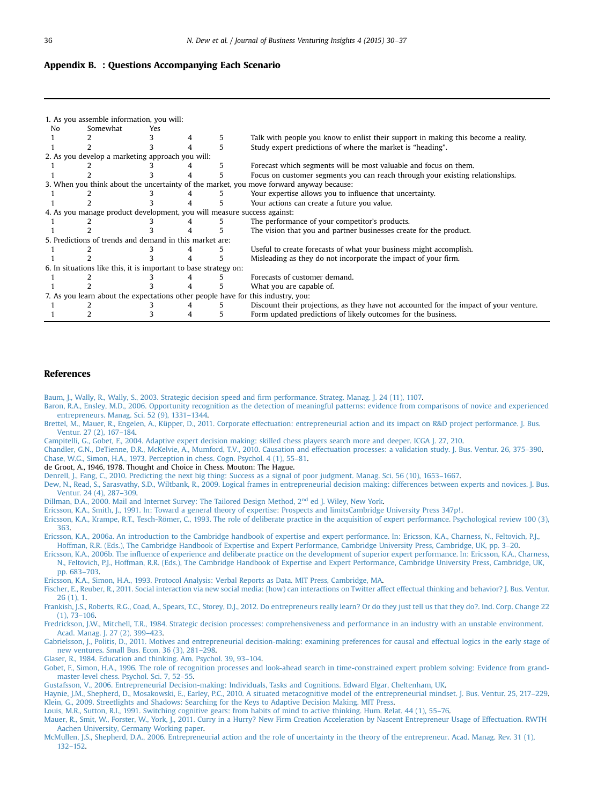#### <span id="page-6-0"></span>Appendix B. : Questions Accompanying Each Scenario

|    | 1. As you assemble information, you will:                                        |     |    |                                                                                         |
|----|----------------------------------------------------------------------------------|-----|----|-----------------------------------------------------------------------------------------|
| No | Somewhat                                                                         | Yes |    |                                                                                         |
|    |                                                                                  |     | 5. | Talk with people you know to enlist their support in making this become a reality.      |
|    |                                                                                  |     | 5. | Study expert predictions of where the market is "heading".                              |
|    | 2. As you develop a marketing approach you will:                                 |     |    |                                                                                         |
|    |                                                                                  |     |    | Forecast which segments will be most valuable and focus on them.                        |
|    |                                                                                  |     |    | Focus on customer segments you can reach through your existing relationships.           |
|    |                                                                                  |     |    | 3. When you think about the uncertainty of the market, you move forward anyway because: |
|    |                                                                                  |     |    | Your expertise allows you to influence that uncertainty.                                |
|    |                                                                                  |     |    | Your actions can create a future you value.                                             |
|    | 4. As you manage product development, you will measure success against:          |     |    |                                                                                         |
|    |                                                                                  |     |    | The performance of your competitor's products.                                          |
|    |                                                                                  |     |    | The vision that you and partner businesses create for the product.                      |
|    | 5. Predictions of trends and demand in this market are:                          |     |    |                                                                                         |
|    |                                                                                  |     |    | Useful to create forecasts of what your business might accomplish.                      |
|    |                                                                                  |     |    | Misleading as they do not incorporate the impact of your firm.                          |
|    | 6. In situations like this, it is important to base strategy on:                 |     |    |                                                                                         |
|    |                                                                                  |     |    | Forecasts of customer demand.                                                           |
|    |                                                                                  |     |    | What you are capable of.                                                                |
|    | 7. As you learn about the expectations other people have for this industry, you: |     |    |                                                                                         |
|    |                                                                                  |     |    | Discount their projections, as they have not accounted for the impact of your venture.  |
|    |                                                                                  |     |    | Form updated predictions of likely outcomes for the business.                           |

## References

[Baum, J., Wally, R., Wally, S., 2003. Strategic decision speed and firm performance. Strateg. Manag. J. 24 \(11\), 1107.](http://refhub.elsevier.com/S2352-6734(15)30005-6/sbref2)

[Baron, R.A., Ensley, M.D., 2006. Opportunity recognition as the detection of meaningful patterns: evidence from comparisons of novice and experienced](http://refhub.elsevier.com/S2352-6734(15)30005-6/sbref3) [entrepreneurs. Manag. Sci. 52 \(9\), 1331](http://refhub.elsevier.com/S2352-6734(15)30005-6/sbref3)–1344.

[Brettel, M., Mauer, R., Engelen, A., Küpper, D., 2011. Corporate effectuation: entrepreneurial action and its impact on R&D project performance. J.](http://refhub.elsevier.com/S2352-6734(15)30005-6/sbref4) Bus. [Ventur. 27 \(2\), 167](http://refhub.elsevier.com/S2352-6734(15)30005-6/sbref4)–184.

[Campitelli, G., Gobet, F., 2004. Adaptive expert decision making: skilled chess players search more and deeper. ICGA J. 27, 210.](http://refhub.elsevier.com/S2352-6734(15)30005-6/sbref5)

[Chandler, G.N., DeTienne, D.R., McKelvie, A., Mumford, T.V., 2010. Causation and effectuation processes: a validation study. J. Bus. Ventur. 26, 375](http://refhub.elsevier.com/S2352-6734(15)30005-6/sbref6)–390. [Chase, W.G., Simon, H.A., 1973. Perception in chess. Cogn. Psychol. 4 \(1\), 55](http://refhub.elsevier.com/S2352-6734(15)30005-6/sbref7)–81.

de Groot, A., 1946, 1978. Thought and Choice in Chess. Mouton: The Hague.

[Denrell, J., Fang, C., 2010. Predicting the next big thing: Success as a signal of poor judgment. Manag. Sci. 56 \(10\), 1653](http://refhub.elsevier.com/S2352-6734(15)30005-6/sbref8)–1667.

[Dew, N., Read, S., Sarasvathy, S.D., Wiltbank, R., 2009. Logical frames in entrepreneurial decision making: differences between experts and novices. J. Bus.](http://refhub.elsevier.com/S2352-6734(15)30005-6/sbref9) [Ventur. 24 \(4\), 287](http://refhub.elsevier.com/S2352-6734(15)30005-6/sbref9)–309.

[Dillman, D.A., 2000. Mail and Internet Survey: The Tailored Design Method, 2](http://refhub.elsevier.com/S2352-6734(15)30005-6/sbref10)nd [ed J. Wiley, New York.](http://refhub.elsevier.com/S2352-6734(15)30005-6/sbref10)

[Ericsson, K.A., Smith, J., 1991. In: Toward a general theory of expertise: Prospects and limitsCambridge University Press 347p!.](http://refhub.elsevier.com/S2352-6734(15)30005-6/sbref111)

[Ericsson, K.A., Krampe, R.T., Tesch-Römer, C., 1993. The role of deliberate practice in the acquisition of expert performance. Psychological review 100 \(3\),](http://refhub.elsevier.com/S2352-6734(15)30005-6/sbref112) [363.](http://refhub.elsevier.com/S2352-6734(15)30005-6/sbref112)

[Ericsson, K.A., 2006a. An introduction to the Cambridge handbook of expertise and expert performance. In: Ericsson, K.A., Charness, N., Feltovich,](http://refhub.elsevier.com/S2352-6734(15)30005-6/sbref11) P.J., [Hoffman, R.R. \(Eds.\), The Cambridge Handbook of Expertise and Expert Performance, Cambridge University Press, Cambridge, UK, pp. 3](http://refhub.elsevier.com/S2352-6734(15)30005-6/sbref11)–20.

[Ericsson, K.A., 2006b. The influence of experience and deliberate practice on the development of superior expert performance. In: Ericsson, K.A., Charness,](http://refhub.elsevier.com/S2352-6734(15)30005-6/sbref12) [N., Feltovich, P.J., Hoffman, R.R. \(Eds.\), The Cambridge Handbook of Expertise and Expert Performance, Cambridge University Press, Cambridge, UK,](http://refhub.elsevier.com/S2352-6734(15)30005-6/sbref12) [pp. 683](http://refhub.elsevier.com/S2352-6734(15)30005-6/sbref12)–703.

[Ericsson, K.A., Simon, H.A., 1993. Protocol Analysis: Verbal Reports as Data. MIT Press, Cambridge, MA.](http://refhub.elsevier.com/S2352-6734(15)30005-6/sbref13)

[Fischer, E., Reuber, R., 2011. Social interaction via new social media: \(how\) can interactions on Twitter affect effectual thinking and behavior? J.](http://refhub.elsevier.com/S2352-6734(15)30005-6/sbref14) Bus. Ventur. [26 \(1\), 1.](http://refhub.elsevier.com/S2352-6734(15)30005-6/sbref14)

[Frankish, J.S., Roberts, R.G., Coad, A., Spears, T.C., Storey, D.J., 2012. Do entrepreneurs really learn? Or do they just tell us that they do?. Ind. Corp. Change 22](http://refhub.elsevier.com/S2352-6734(15)30005-6/sbref15) [\(1\), 73](http://refhub.elsevier.com/S2352-6734(15)30005-6/sbref15)–106.

[Fredrickson, J.W., Mitchell, T.R., 1984. Strategic decision processes: comprehensiveness and performance in an industry with an unstable environment.](http://refhub.elsevier.com/S2352-6734(15)30005-6/sbref16) [Acad. Manag. J. 27 \(2\), 399](http://refhub.elsevier.com/S2352-6734(15)30005-6/sbref16)–423.

[Gabrielsson, J., Politis, D., 2011. Motives and entrepreneurial decision-making: examining preferences for causal and effectual logics in the early stage of](http://refhub.elsevier.com/S2352-6734(15)30005-6/sbref17) [new ventures. Small Bus. Econ. 36 \(3\), 281](http://refhub.elsevier.com/S2352-6734(15)30005-6/sbref17)–298.

[Glaser, R., 1984. Education and thinking. Am. Psychol. 39, 93](http://refhub.elsevier.com/S2352-6734(15)30005-6/sbref18)–104.

[Gobet, F., Simon, H.A., 1996. The role of recognition processes and look-ahead search in time-constrained expert problem solving: Evidence from grand](http://refhub.elsevier.com/S2352-6734(15)30005-6/sbref19)[master-level chess. Psychol. Sci. 7, 52](http://refhub.elsevier.com/S2352-6734(15)30005-6/sbref19)–55.

[Gustafsson, V., 2006. Entrepreneurial Decision-making: Individuals, Tasks and Cognitions. Edward Elgar, Cheltenham, UK.](http://refhub.elsevier.com/S2352-6734(15)30005-6/sbref20)

[Haynie, J.M., Shepherd, D., Mosakowski, E., Earley, P.C., 2010. A situated metacognitive model of the entrepreneurial mindset. J. Bus. Ventur. 25, 217](http://refhub.elsevier.com/S2352-6734(15)30005-6/sbref21)–229. [Klein, G., 2009. Streetlights and Shadows: Searching for the Keys to Adaptive Decision Making. MIT Press.](http://refhub.elsevier.com/S2352-6734(15)30005-6/sbref22)

[Louis, M.R., Sutton, R.I., 1991. Switching cognitive gears: from habits of mind to active thinking. Hum. Relat. 44 \(1\), 55](http://refhub.elsevier.com/S2352-6734(15)30005-6/sbref23)–76.

[Mauer, R., Smit, W., Forster, W., York, J., 2011. Curry in a Hurry? New Firm Creation Acceleration by Nascent Entrepreneur Usage of Effectuation. RWTH](http://refhub.elsevier.com/S2352-6734(15)30005-6/sbref24) [Aachen University, Germany Working paper.](http://refhub.elsevier.com/S2352-6734(15)30005-6/sbref24)

[McMullen, J.S., Shepherd, D.A., 2006. Entrepreneurial action and the role of uncertainty in the theory of the entrepreneur. Acad. Manag. Rev. 31 \(1\),](http://refhub.elsevier.com/S2352-6734(15)30005-6/sbref25) [132](http://refhub.elsevier.com/S2352-6734(15)30005-6/sbref25)–[152.](http://refhub.elsevier.com/S2352-6734(15)30005-6/sbref25)